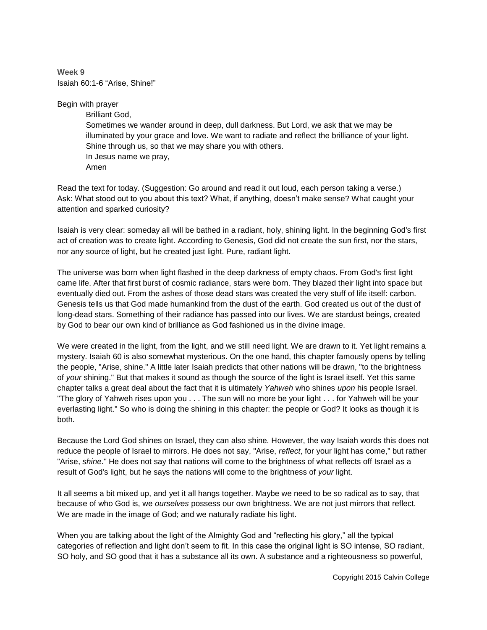**Week 9** Isaiah 60:1-6 "Arise, Shine!"

Begin with prayer

Brilliant God, Sometimes we wander around in deep, dull darkness. But Lord, we ask that we may be illuminated by your grace and love. We want to radiate and reflect the brilliance of your light. Shine through us, so that we may share you with others. In Jesus name we pray, Amen

Read the text for today. (Suggestion: Go around and read it out loud, each person taking a verse.) Ask: What stood out to you about this text? What, if anything, doesn't make sense? What caught your attention and sparked curiosity?

Isaiah is very clear: someday all will be bathed in a radiant, holy, shining light. In the beginning God's first act of creation was to create light. According to Genesis, God did not create the sun first, nor the stars, nor any source of light, but he created just light. Pure, radiant light.

The universe was born when light flashed in the deep darkness of empty chaos. From God's first light came life. After that first burst of cosmic radiance, stars were born. They blazed their light into space but eventually died out. From the ashes of those dead stars was created the very stuff of life itself: carbon. Genesis tells us that God made humankind from the dust of the earth. God created us out of the dust of long-dead stars. Something of their radiance has passed into our lives. We are stardust beings, created by God to bear our own kind of brilliance as God fashioned us in the divine image.

We were created in the light, from the light, and we still need light. We are drawn to it. Yet light remains a mystery. Isaiah 60 is also somewhat mysterious. On the one hand, this chapter famously opens by telling the people, "Arise, shine." A little later Isaiah predicts that other nations will be drawn, "to the brightness of *your* shining." But that makes it sound as though the source of the light is Israel itself. Yet this same chapter talks a great deal about the fact that it is ultimately *Yahweh* who shines *upon* his people Israel. "The glory of Yahweh rises upon you . . . The sun will no more be your light . . . for Yahweh will be your everlasting light." So who is doing the shining in this chapter: the people or God? It looks as though it is both.

Because the Lord God shines on Israel, they can also shine. However, the way Isaiah words this does not reduce the people of Israel to mirrors. He does not say, "Arise, *reflect*, for your light has come," but rather "Arise, *shine*." He does not say that nations will come to the brightness of what reflects off Israel as a result of God's light, but he says the nations will come to the brightness of *your* light.

It all seems a bit mixed up, and yet it all hangs together. Maybe we need to be so radical as to say, that because of who God is, we *ourselves* possess our own brightness. We are not just mirrors that reflect. We are made in the image of God; and we naturally radiate his light.

When you are talking about the light of the Almighty God and "reflecting his glory," all the typical categories of reflection and light don't seem to fit. In this case the original light is SO intense, SO radiant, SO holy, and SO good that it has a substance all its own. A substance and a righteousness so powerful,